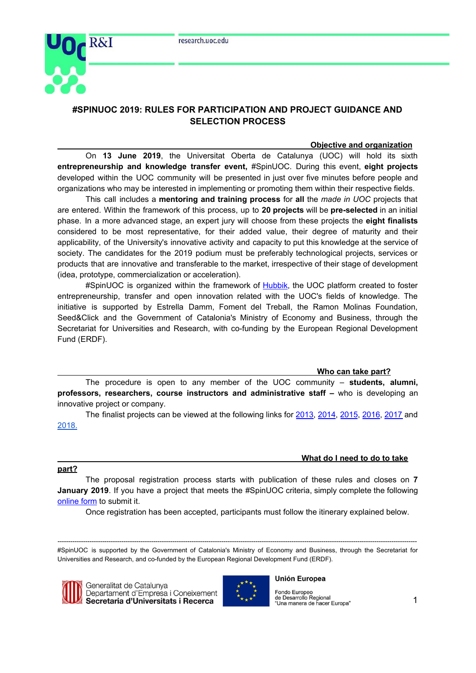

# **#SPINUOC 2019: RULES FOR PARTICIPATION AND PROJECT GUIDANCE AND SELECTION PROCESS**

## **Objective and organization**

On **13 June 2019**, the Universitat Oberta de Catalunya (UOC) will hold its sixth **entrepreneurship and knowledge transfer event,** #SpinUOC. During this event, **eight projects** developed within the UOC community will be presented in just over five minutes before people and organizations who may be interested in implementing or promoting them within their respective fields.

This call includes a **mentoring and training process** for **all** the *made in UOC* projects that are entered. Within the framework of this process, up to **20 projects** will be **pre-selected** in an initial phase. In a more advanced stage, an expert jury will choose from these projects the **eight finalists** considered to be most representative, for their added value, their degree of maturity and their applicability, of the University's innovative activity and capacity to put this knowledge at the service of society. The candidates for the 2019 podium must be preferably technological projects, services or products that are innovative and transferable to the market, irrespective of their stage of development (idea, prototype, commercialization or acceleration).

#SpinUOC is organized within the framework of [Hubbik](https://hubbik.uoc.edu/), the UOC platform created to foster entrepreneurship, transfer and open innovation related with the UOC's fields of knowledge. The initiative is supported by Estrella Damm, Foment del Treball, the Ramon Molinas Foundation, Seed&Click and the Government of Catalonia's Ministry of Economy and Business, through the Secretariat for Universities and Research, with co-funding by the European Regional Development Fund (ERDF).

**Who can take part?**

The procedure is open to any member of the UOC community – **students, alumni, professors, researchers, course instructors and administrative staff –** who is developing an innovative project or company.

The finalist projects can be viewed at the following links for [2013,](http://www.uoc.edu/rdi/spin/spin_UOCs.html) [2014](http://congress.uoc.edu/spinuoc2014/ca/index.html), [2015](http://www.uoc.edu/portal/ca/symposia/spinuoc2015/spin-uocs/index.html), [2016](http://symposium.uoc.edu/event_detail/2749/sections/3907/projectes.html), [2017](http://symposium.uoc.edu/event_detail/6327/sections/7504/projectes.html) and [2018.](https://symposium.uoc.edu/13429/detail/spinuoc-2018.html)

### **What do I need to do to take**

### **part?**

The proposal registration process starts with publication of these rules and closes on **7 January 2019**. If you have a project that meets the #SpinUOC criteria, simply complete the following [online](http://hubbik.uoc.edu/ca/form/inscripcions-spinuoc) form to submit it.

Once registration has been accepted, participants must follow the itinerary explained below.

*-------------------------------------------------------------------------------------------------------------------------------------------------------------------------* #SpinUOC is supported by the Government of Catalonia's Ministry of Economy and Business, through the Secretariat for Universities and Research, and co-funded by the European Regional Development Fund (ERDF).



Generalitat de Catalunya Departament d'Empresa i Coneixement Secretaria d'Universitats i Recerca



### **Unión Europea**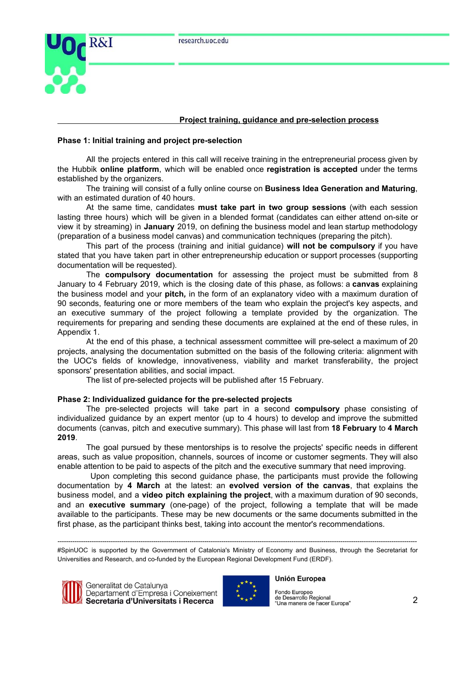

## **Project training, guidance and pre-selection process**

## **Phase 1: Initial training and project pre-selection**

All the projects entered in this call will receive training in the entrepreneurial process given by the Hubbik **online platform**, which will be enabled once **registration is accepted** under the terms established by the organizers.

The training will consist of a fully online course on **Business Idea Generation and Maturing**, with an estimated duration of 40 hours.

At the same time, candidates **must take part in two group sessions** (with each session lasting three hours) which will be given in a blended format (candidates can either attend on-site or view it by streaming) in **January** 2019, on defining the business model and lean startup methodology (preparation of a business model canvas) and communication techniques (preparing the pitch).

This part of the process (training and initial guidance) **will not be compulsory** if you have stated that you have taken part in other entrepreneurship education or support processes (supporting documentation will be requested).

The **compulsory documentation** for assessing the project must be submitted from 8 January to 4 February 2019, which is the closing date of this phase, as follows: a **canvas** explaining the business model and your **pitch***,* in the form of an explanatory video with a maximum duration of 90 seconds, featuring one or more members of the team who explain the project's key aspects, and an executive summary of the project following a template provided by the organization. The requirements for preparing and sending these documents are explained at the end of these rules, in Appendix 1.

At the end of this phase, a technical assessment committee will pre-select a maximum of 20 projects, analysing the documentation submitted on the basis of the following criteria: alignment with the UOC's fields of knowledge, innovativeness, viability and market transferability, the project sponsors' presentation abilities, and social impact.

The list of pre-selected projects will be published after 15 February.

### **Phase 2: Individualized guidance for the pre-selected projects**

The pre-selected projects will take part in a second **compulsory** phase consisting of individualized guidance by an expert mentor (up to 4 hours) to develop and improve the submitted documents (canvas, pitch and executive summary). This phase will last from **18 February** to **4 March 2019**.

The goal pursued by these mentorships is to resolve the projects' specific needs in different areas, such as value proposition, channels, sources of income or customer segments. They will also enable attention to be paid to aspects of the pitch and the executive summary that need improving.

Upon completing this second guidance phase, the participants must provide the following documentation by **4 March** at the latest: an **evolved version of the canvas**, that explains the business model, and a **video pitch explaining the project**, with a maximum duration of 90 seconds, and an **executive summary** (one-page) of the project, following a template that will be made available to the participants. These may be new documents or the same documents submitted in the first phase, as the participant thinks best, taking into account the mentor's recommendations.

*-------------------------------------------------------------------------------------------------------------------------------------------------------------------------* #SpinUOC is supported by the Government of Catalonia's Ministry of Economy and Business, through the Secretariat for Universities and Research, and co-funded by the European Regional Development Fund (ERDF).





#### **Unión Europea**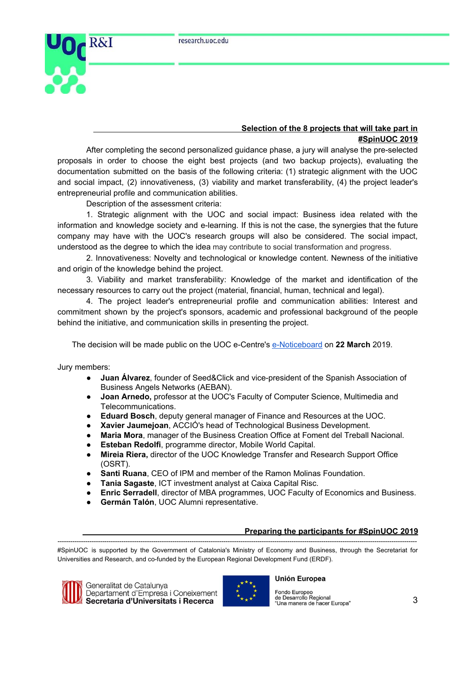

# **Selection of the 8 projects that will take part in #SpinUOC 2019**

After completing the second personalized guidance phase, a jury will analyse the pre-selected proposals in order to choose the eight best projects (and two backup projects), evaluating the documentation submitted on the basis of the following criteria: (1) strategic alignment with the UOC and social impact, (2) innovativeness, (3) viability and market transferability, (4) the project leader's entrepreneurial profile and communication abilities.

Description of the assessment criteria:

1. Strategic alignment with the UOC and social impact: Business idea related with the information and knowledge society and e-learning. If this is not the case, the synergies that the future company may have with the UOC's research groups will also be considered. The social impact, understood as the degree to which the idea may contribute to social transformation and progress.

2. Innovativeness: Novelty and technological or knowledge content. Newness of the initiative and origin of the knowledge behind the project.

3. Viability and market transferability: Knowledge of the market and identification of the necessary resources to carry out the project (material, financial, human, technical and legal).

4. The project leader's entrepreneurial profile and communication abilities: Interest and commitment shown by the project's sponsors, academic and professional background of the people behind the initiative, and communication skills in presenting the project.

The decision will be made public on the UOC e-Centre's [e-Noticeboard](https://seu-electronica.uoc.edu/portal/ca/seu-electronica/tramits-serveis/tauler-anuncis/index.html) on **22 March** 2019.

Jury members:

- **Juan Álvarez**, founder of Seed&Click and vice-president of the Spanish Association of Business Angels Networks (AEBAN).
- **Joan Arnedo,** professor at the UOC's Faculty of Computer Science, Multimedia and Telecommunications.
- **Eduard Bosch**, deputy general manager of Finance and Resources at the UOC.
- **Xavier Jaumejoan**, ACCIÓ's head of Technological Business Development.
- **Maria Mora**, manager of the Business Creation Office at Foment del Treball Nacional.
- **Esteban Redolfi**, programme director, Mobile World Capital.
- **Mireia Riera,** director of the UOC Knowledge Transfer and Research Support Office (OSRT).
- Santi Ruana, CEO of IPM and member of the Ramon Molinas Foundation.
- **Tania Sagaste**, ICT investment analyst at Caixa Capital Risc.
- **Enric Serradell**, director of MBA programmes, UOC Faculty of Economics and Business.
- **Germán Talón**, UOC Alumni representative.

# **Preparing the participants for #SpinUOC 2019**

*-------------------------------------------------------------------------------------------------------------------------------------------------------------------------* #SpinUOC is supported by the Government of Catalonia's Ministry of Economy and Business, through the Secretariat for Universities and Research, and co-funded by the European Regional Development Fund (ERDF).





## **Unión Europea**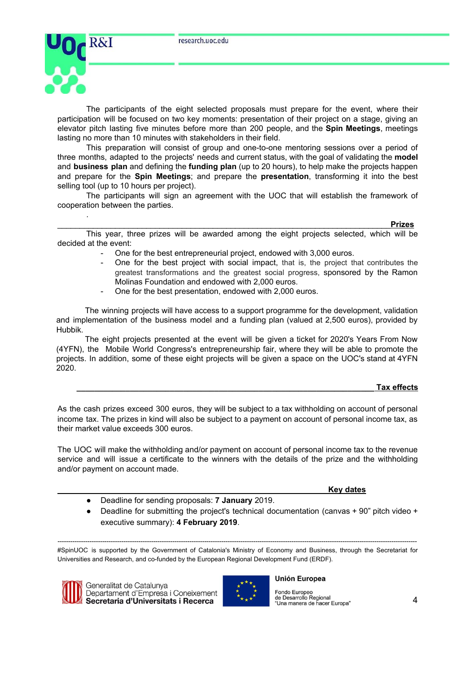

.

The participants of the eight selected proposals must prepare for the event, where their participation will be focused on two key moments: presentation of their project on a stage, giving an elevator pitch lasting five minutes before more than 200 people, and the **Spin Meetings**, meetings lasting no more than 10 minutes with stakeholders in their field.

This preparation will consist of group and one-to-one mentoring sessions over a period of three months, adapted to the projects' needs and current status, with the goal of validating the **model** and **business plan** and defining the **funding plan** (up to 20 hours), to help make the projects happen and prepare for the **Spin Meetings**; and prepare the **presentation**, transforming it into the best selling tool (up to 10 hours per project).

The participants will sign an agreement with the UOC that will establish the framework of cooperation between the parties.

\_\_\_\_\_\_\_\_\_\_\_\_\_\_\_\_\_\_\_\_\_\_\_\_\_\_\_\_\_\_\_\_\_\_\_\_\_\_\_\_\_\_\_\_\_\_\_\_\_\_\_\_\_\_\_\_\_\_\_\_\_\_\_\_\_\_\_\_\_\_\_\_\_\_\_**Prizes**

This year, three prizes will be awarded among the eight projects selected, which will be decided at the event:

- One for the best entrepreneurial project, endowed with 3,000 euros.
- One for the best project with social impact, that is, the project that contributes the greatest transformations and the greatest social progress, sponsored by the Ramon Molinas Foundation and endowed with 2,000 euros.
- One for the best presentation, endowed with 2,000 euros.

The winning projects will have access to a support programme for the development, validation and implementation of the business model and a funding plan (valued at 2,500 euros), provided by Hubbik.

The eight projects presented at the event will be given a ticket for 2020's Years From Now (4YFN), the [Mobile](http://mobileworldcapital.com/es/pagina/49) World Congress's entrepreneurship fair, where they will be able to promote the projects. In addition, some of these eight projects will be given a space on the UOC's stand at 4YFN 2020.

# **\_\_\_\_\_\_\_\_\_\_\_\_\_\_\_\_\_\_\_\_\_\_\_\_\_\_\_\_\_\_\_\_\_\_\_\_\_\_\_\_\_\_\_\_\_\_\_\_\_\_\_\_\_\_\_\_\_\_\_\_\_\_\_\_\_\_\_ Tax effects**

As the cash prizes exceed 300 euros, they will be subject to a tax withholding on account of personal income tax. The prizes in kind will also be subject to a payment on account of personal income tax, as their market value exceeds 300 euros.

The UOC will make the withholding and/or payment on account of personal income tax to the revenue service and will issue a certificate to the winners with the details of the prize and the withholding and/or payment on account made.

**Key dates**

- Deadline for sending proposals: **7 January** 2019.
- Deadline for submitting the project's technical documentation (canvas +  $90"$  pitch video + executive summary): **4 February 2019**.

*-------------------------------------------------------------------------------------------------------------------------------------------------------------------------* #SpinUOC is supported by the Government of Catalonia's Ministry of Economy and Business, through the Secretariat for Universities and Research, and co-funded by the European Regional Development Fund (ERDF).





### **Unión Europea**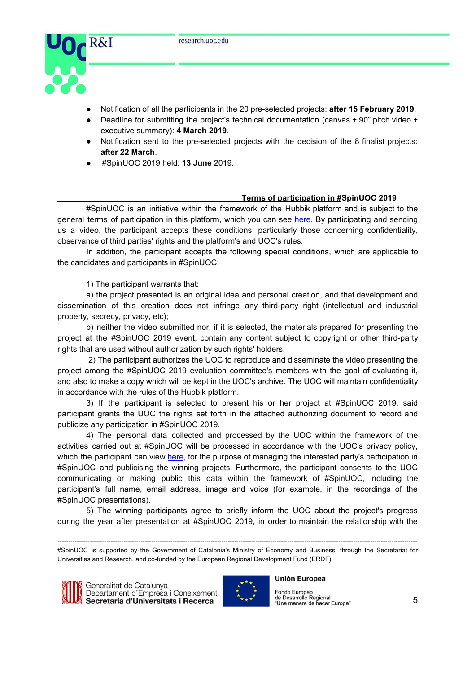

- Notification of all the participants in the 20 pre-selected projects: **after 15 February 2019**.
- Deadline for submitting the project's technical documentation (canvas + 90" pitch video + executive summary): **4 March 2019**.
- Notification sent to the pre-selected projects with the decision of the 8 finalist projects: **after 22 March**.
- #SpinUOC 2019 held: **13 June** 2019.

## **Terms of participation in #SpinUOC 2019**

#SpinUOC is an initiative within the framework of the Hubbik platform and is subject to the general terms of participation in this platform, which you can see [here.](http://hubbik.uoc.edu/ca/legal-hubbik) By participating and sending us a video, the participant accepts these conditions, particularly those concerning confidentiality, observance of third parties' rights and the platform's and UOC's rules.

In addition, the participant accepts the following special conditions, which are applicable to the candidates and participants in #SpinUOC:

1) The participant warrants that:

a) the project presented is an original idea and personal creation, and that development and dissemination of this creation does not infringe any third-party right (intellectual and industrial property, secrecy, privacy, etc);

b) neither the video submitted nor, if it is selected, the materials prepared for presenting the project at the #SpinUOC 2019 event, contain any content subject to copyright or other third-party rights that are used without authorization by such rights' holders.

2) The participant authorizes the UOC to reproduce and disseminate the video presenting the project among the #SpinUOC 2019 evaluation committee's members with the goal of evaluating it, and also to make a copy which will be kept in the UOC's archive. The UOC will maintain confidentiality in accordance with the rules of the Hubbik platform.

3) If the participant is selected to present his or her project at #SpinUOC 2019, said participant grants the UOC the rights set forth in the attached authorizing document to record and publicize any participation in #SpinUOC 2019.

4) The personal data collected and processed by the UOC within the framework of the activities carried out at #SpinUOC will be processed in accordance with the UOC's privacy policy, which the participant can view [here,](http://www.uoc.edu/portal/ca/_peu/avis_legal/politica-privacitat/index.html) for the purpose of managing the interested party's participation in #SpinUOC and publicising the winning projects. Furthermore, the participant consents to the UOC communicating or making public this data within the framework of #SpinUOC, including the participant's full name, email address, image and voice (for example, in the recordings of the #SpinUOC presentations).

5) The winning participants agree to briefly inform the UOC about the project's progress during the year after presentation at #SpinUOC 2019, in order to maintain the relationship with the

*<sup>-------------------------------------------------------------------------------------------------------------------------------------------------------------------------</sup>* #SpinUOC is supported by the Government of Catalonia's Ministry of Economy and Business, through the Secretariat for Universities and Research, and co-funded by the European Regional Development Fund (ERDF).





### **Unión Europea**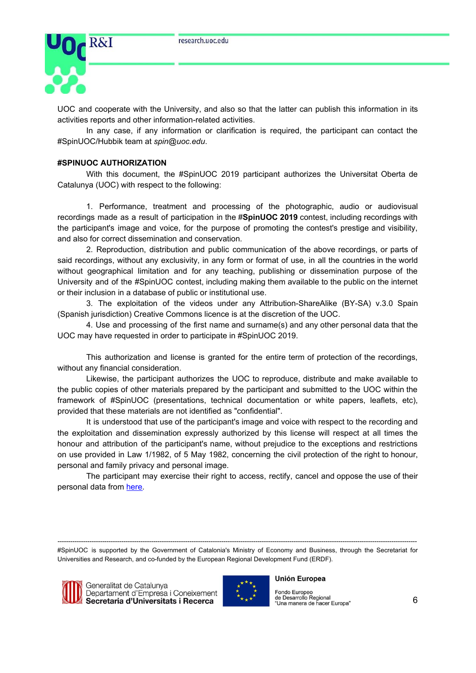

UOC and cooperate with the University, and also so that the latter can publish this information in its activities reports and other information-related activities.

In any case, if any information or clarification is required, the participant can contact the #SpinUOC/Hubbik team at *spin@uoc.edu*.

### **#SPINUOC AUTHORIZATION**

With this document, the #SpinUOC 2019 participant authorizes the Universitat Oberta de Catalunya (UOC) with respect to the following:

1. Performance, treatment and processing of the photographic, audio or audiovisual recordings made as a result of participation in the #**SpinUOC 2019** contest, including recordings with the participant's image and voice, for the purpose of promoting the contest's prestige and visibility, and also for correct dissemination and conservation.

2. Reproduction, distribution and public communication of the above recordings, or parts of said recordings, without any exclusivity, in any form or format of use, in all the countries in the world without geographical limitation and for any teaching, publishing or dissemination purpose of the University and of the #SpinUOC contest, including making them available to the public on the internet or their inclusion in a database of public or institutional use.

3. The exploitation of the videos under any Attribution-ShareAlike (BY-SA) v.3.0 Spain (Spanish jurisdiction) Creative Commons licence is at the discretion of the UOC.

4. Use and processing of the first name and surname(s) and any other personal data that the UOC may have requested in order to participate in #SpinUOC 2019.

This authorization and license is granted for the entire term of protection of the recordings, without any financial consideration.

Likewise, the participant authorizes the UOC to reproduce, distribute and make available to the public copies of other materials prepared by the participant and submitted to the UOC within the framework of #SpinUOC (presentations, technical documentation or white papers, leaflets, etc), provided that these materials are not identified as "confidential".

It is understood that use of the participant's image and voice with respect to the recording and the exploitation and dissemination expressly authorized by this license will respect at all times the honour and attribution of the participant's name, without prejudice to the exceptions and restrictions on use provided in Law 1/1982, of 5 May 1982, concerning the civil protection of the right to honour, personal and family privacy and personal image.

The participant may exercise their right to access, rectify, cancel and oppose the use of their personal data from [here.](http://www.uoc.edu/portal/ca/_peu/avis_legal/drets-arco/index.html)

*-------------------------------------------------------------------------------------------------------------------------------------------------------------------------* #SpinUOC is supported by the Government of Catalonia's Ministry of Economy and Business, through the Secretariat for Universities and Research, and co-funded by the European Regional Development Fund (ERDF).



Generalitat de Catalunya Departament d'Empresa i Coneixement Secretaria d'Universitats i Recerca



### **Unión Europea**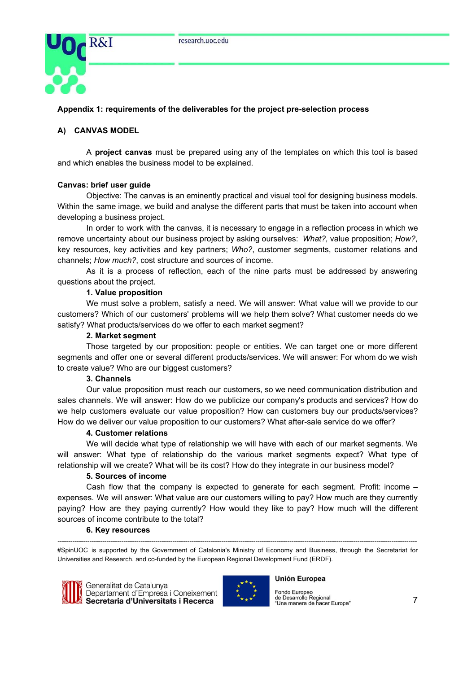

# **Appendix 1: requirements of the deliverables for the project pre-selection process**

# **A) CANVAS MODEL**

A **project canvas** must be prepared using any of the templates on which this tool is based and which enables the business model to be explained.

### **Canvas: brief user guide**

Objective: The canvas is an eminently practical and visual tool for designing business models. Within the same image, we build and analyse the different parts that must be taken into account when developing a business project.

In order to work with the canvas, it is necessary to engage in a reflection process in which we remove uncertainty about our business project by asking ourselves: *What?,* value proposition; *How?*, key resources, key activities and key partners; *Who?*, customer segments, customer relations and channels; *How much?*, cost structure and sources of income.

As it is a process of reflection, each of the nine parts must be addressed by answering questions about the project.

## **1. Value proposition**

We must solve a problem, satisfy a need. We will answer: What value will we provide to our customers? Which of our customers' problems will we help them solve? What customer needs do we satisfy? What products/services do we offer to each market segment?

### **2. Market segment**

Those targeted by our proposition: people or entities. We can target one or more different segments and offer one or several different products/services. We will answer: For whom do we wish to create value? Who are our biggest customers?

### **3. Channels**

Our value proposition must reach our customers, so we need communication distribution and sales channels. We will answer: How do we publicize our company's products and services? How do we help customers evaluate our value proposition? How can customers buy our products/services? How do we deliver our value proposition to our customers? What after-sale service do we offer?

## **4. Customer relations**

We will decide what type of relationship we will have with each of our market segments. We will answer: What type of relationship do the various market segments expect? What type of relationship will we create? What will be its cost? How do they integrate in our business model?

### **5. Sources of income**

Cash flow that the company is expected to generate for each segment. Profit: income – expenses. We will answer: What value are our customers willing to pay? How much are they currently paying? How are they paying currently? How would they like to pay? How much will the different sources of income contribute to the total?

### **6. Key resources**

*-------------------------------------------------------------------------------------------------------------------------------------------------------------------------* #SpinUOC is supported by the Government of Catalonia's Ministry of Economy and Business, through the Secretariat for Universities and Research, and co-funded by the European Regional Development Fund (ERDF).



Generalitat de Catalunya Departament d'Empresa i Coneixement Secretaria d'Universitats i Recerca



#### **Unión Europea**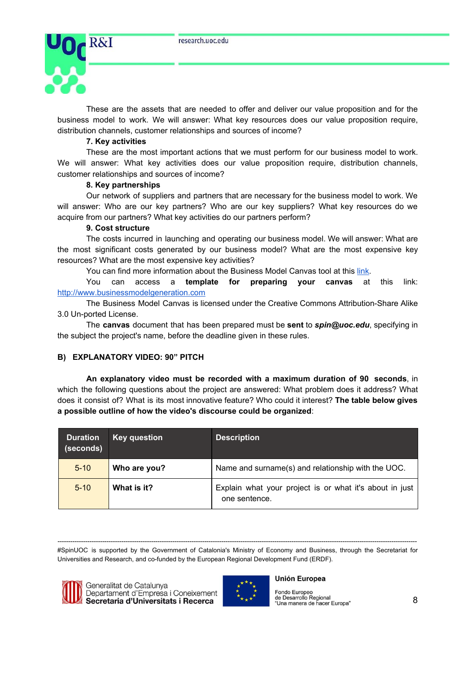

These are the assets that are needed to offer and deliver our value proposition and for the business model to work. We will answer: What key resources does our value proposition require, distribution channels, customer relationships and sources of income?

## **7. Key activities**

These are the most important actions that we must perform for our business model to work. We will answer: What key activities does our value proposition require, distribution channels, customer relationships and sources of income?

### **8. Key partnerships**

Our network of suppliers and partners that are necessary for the business model to work. We will answer: Who are our key partners? Who are our key suppliers? What key resources do we acquire from our partners? What key activities do our partners perform?

### **9. Cost structure**

The costs incurred in launching and operating our business model. We will answer: What are the most significant costs generated by our business model? What are the most expensive key resources? What are the most expensive key activities?

You can find more information about the Business Model Canvas tool at this [link](http://coneixement.accio.gencat.cat/web/portal/estudis-i-tendencies/-/custom_publisher/IwB4/28478970/Que-es-el-Business-Model-Canvas).

You can access a **template for preparing your canvas** at this link: [http://www.businessmodelgeneration.com](http://www.businessmodelgeneration.com/)

The Business Model Canvas is licensed under the Creative Commons Attribution-Share Alike 3.0 Un-ported License.

The **canvas** document that has been prepared must be **sent** to *spin@uoc.edu*, specifying in the subject the project's name, before the deadline given in these rules.

# **B) EXPLANATORY VIDEO: 90" PITCH**

**An explanatory video must be recorded with a maximum duration of 90 seconds**, in which the following questions about the project are answered: What problem does it address? What does it consist of? What is its most innovative feature? Who could it interest? **The table below gives a possible outline of how the video's discourse could be organized**:

| <b>Duration</b><br>(seconds) | <b>Key question</b> | <b>Description</b>                                                       |
|------------------------------|---------------------|--------------------------------------------------------------------------|
| $5 - 10$                     | Who are you?        | Name and surname(s) and relationship with the UOC.                       |
| $5 - 10$                     | What is it?         | Explain what your project is or what it's about in just<br>one sentence. |

*-------------------------------------------------------------------------------------------------------------------------------------------------------------------------* #SpinUOC is supported by the Government of Catalonia's Ministry of Economy and Business, through the Secretariat for Universities and Research, and co-funded by the European Regional Development Fund (ERDF).



Generalitat de Catalunya Departament d'Empresa i Coneixement Secretaria d'Universitats i Recerca



#### **Unión Europea**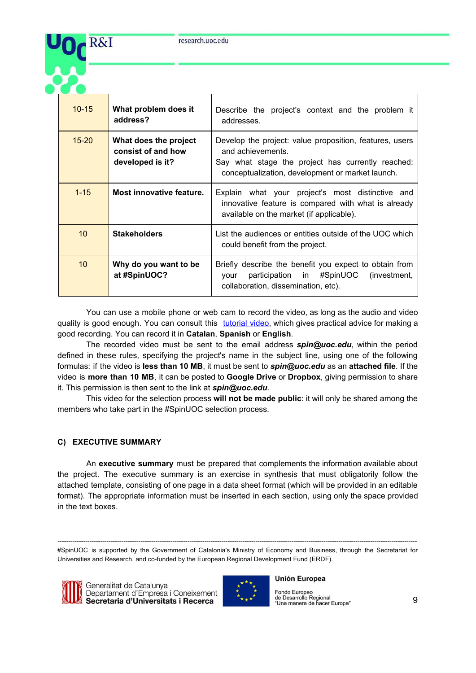

| $10 - 15$       | What problem does it<br>address?                                | Describe the project's context and the problem it<br>addresses.                                                                                                                       |
|-----------------|-----------------------------------------------------------------|---------------------------------------------------------------------------------------------------------------------------------------------------------------------------------------|
| $15 - 20$       | What does the project<br>consist of and how<br>developed is it? | Develop the project: value proposition, features, users<br>and achievements.<br>Say what stage the project has currently reached:<br>conceptualization, development or market launch. |
| $1 - 15$        | Most innovative feature.                                        | Explain what your project's most distinctive and<br>innovative feature is compared with what is already<br>available on the market (if applicable).                                   |
| 10              | <b>Stakeholders</b>                                             | List the audiences or entities outside of the UOC which<br>could benefit from the project.                                                                                            |
| 10 <sup>°</sup> | Why do you want to be<br>at #SpinUOC?                           | Briefly describe the benefit you expect to obtain from<br>participation in #SpinUOC (investment,<br>your<br>collaboration, dissemination, etc).                                       |

You can use a mobile phone or web cam to record the video, as long as the audio and video quality is good enough. You can consult this [tutorial](https://www.youtube.com/watch?v=sXcTh6RCks8) video, which gives practical advice for making a good recording. You can record it in **Catalan**, **Spanish** or **English**.

The recorded video must be sent to the email address *spin@uoc.edu*, within the period defined in these rules, specifying the project's name in the subject line, using one of the following formulas: if the video is **less than 10 MB**, it must be sent to *spin@uoc.edu* as an **attached file**. If the video is **more than 10 MB**, it can be posted to **Google Drive** or **Dropbox**, giving permission to share it. This permission is then sent to the link at *spin@uoc.edu*.

This video for the selection process **will not be made public**: it will only be shared among the members who take part in the #SpinUOC selection process.

# **C) EXECUTIVE SUMMARY**

An **executive summary** must be prepared that complements the information available about the project. The executive summary is an exercise in synthesis that must obligatorily follow the attached template, consisting of one page in a data sheet format (which will be provided in an editable format). The appropriate information must be inserted in each section, using only the space provided in the text boxes.

*-------------------------------------------------------------------------------------------------------------------------------------------------------------------------* #SpinUOC is supported by the Government of Catalonia's Ministry of Economy and Business, through the Secretariat for Universities and Research, and co-funded by the European Regional Development Fund (ERDF).



Generalitat de Catalunya Departament d'Empresa i Coneixement Secretaria d'Universitats i Recerca



### **Unión Europea**